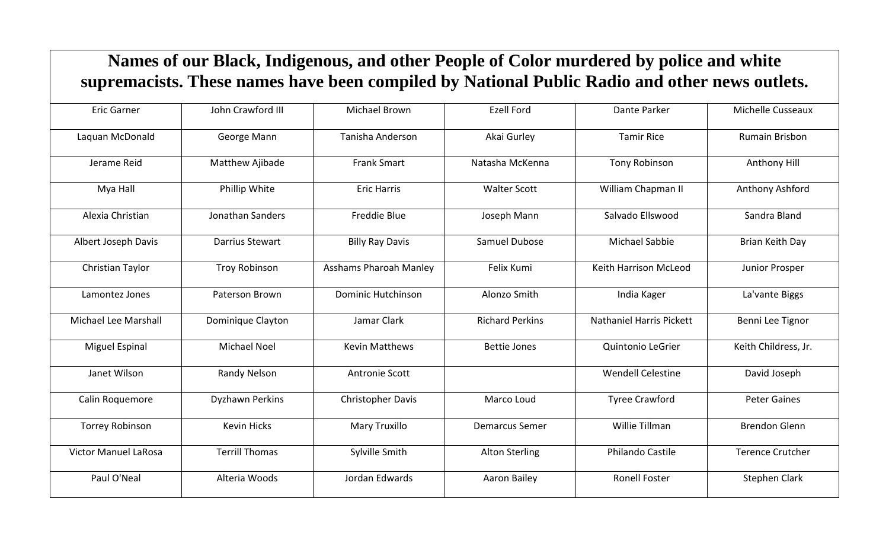## **Names of our Black, Indigenous, and other People of Color murdered by police and white supremacists. These names have been compiled by National Public Radio and other news outlets.**

| <b>Eric Garner</b>          | John Crawford III      | Michael Brown                 | <b>Ezell Ford</b>      | Dante Parker                    | <b>Michelle Cusseaux</b> |
|-----------------------------|------------------------|-------------------------------|------------------------|---------------------------------|--------------------------|
| Laquan McDonald             | George Mann            | Tanisha Anderson              | Akai Gurley            | <b>Tamir Rice</b>               | Rumain Brisbon           |
| Jerame Reid                 | Matthew Ajibade        | <b>Frank Smart</b>            | Natasha McKenna        | <b>Tony Robinson</b>            | Anthony Hill             |
| Mya Hall                    | Phillip White          | <b>Eric Harris</b>            | <b>Walter Scott</b>    | William Chapman II              | Anthony Ashford          |
| Alexia Christian            | Jonathan Sanders       | <b>Freddie Blue</b>           | Joseph Mann            | Salvado Ellswood                | Sandra Bland             |
| Albert Joseph Davis         | Darrius Stewart        | <b>Billy Ray Davis</b>        | Samuel Dubose          | <b>Michael Sabbie</b>           | Brian Keith Day          |
| Christian Taylor            | <b>Troy Robinson</b>   | <b>Asshams Pharoah Manley</b> | Felix Kumi             | Keith Harrison McLeod           | Junior Prosper           |
| Lamontez Jones              | Paterson Brown         | <b>Dominic Hutchinson</b>     | Alonzo Smith           | India Kager                     | La'vante Biggs           |
| Michael Lee Marshall        | Dominique Clayton      | Jamar Clark                   | <b>Richard Perkins</b> | <b>Nathaniel Harris Pickett</b> | Benni Lee Tignor         |
| Miguel Espinal              | <b>Michael Noel</b>    | <b>Kevin Matthews</b>         | <b>Bettie Jones</b>    | Quintonio LeGrier               | Keith Childress, Jr.     |
| Janet Wilson                | Randy Nelson           | <b>Antronie Scott</b>         |                        | <b>Wendell Celestine</b>        | David Joseph             |
| Calin Roquemore             | <b>Dyzhawn Perkins</b> | <b>Christopher Davis</b>      | Marco Loud             | <b>Tyree Crawford</b>           | <b>Peter Gaines</b>      |
| <b>Torrey Robinson</b>      | <b>Kevin Hicks</b>     | Mary Truxillo                 | <b>Demarcus Semer</b>  | Willie Tillman                  | <b>Brendon Glenn</b>     |
| <b>Victor Manuel LaRosa</b> | <b>Terrill Thomas</b>  | Sylville Smith                | <b>Alton Sterling</b>  | <b>Philando Castile</b>         | <b>Terence Crutcher</b>  |
| Paul O'Neal                 | Alteria Woods          | Jordan Edwards                | Aaron Bailey           | <b>Ronell Foster</b>            | <b>Stephen Clark</b>     |